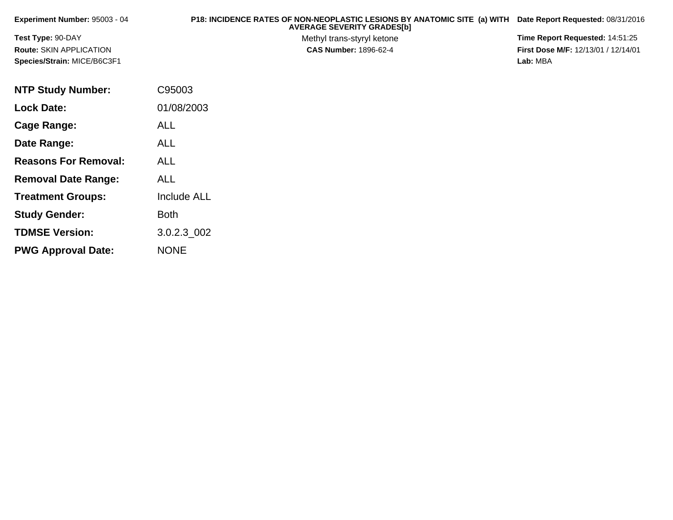| <b>Experiment Number: 95003 - 04</b> | P18: INCIDENCE RATES OF NON-NEOPLASTIC LESIONS BY ANATOMIC SITE (a) WITH Date Report Requested: 08/31/2016<br><b>AVERAGE SEVERITY GRADES[b]</b> |                                            |
|--------------------------------------|-------------------------------------------------------------------------------------------------------------------------------------------------|--------------------------------------------|
| <b>Test Type: 90-DAY</b>             | Methyl trans-styryl ketone                                                                                                                      | <b>Time Report Requested: 14:51:25</b>     |
| <b>Route: SKIN APPLICATION</b>       | <b>CAS Number: 1896-62-4</b>                                                                                                                    | <b>First Dose M/F: 12/13/01 / 12/14/01</b> |
| Species/Strain: MICE/B6C3F1          |                                                                                                                                                 | Lab: MBA                                   |
|                                      |                                                                                                                                                 |                                            |

| <b>NTP Study Number:</b>    | C95003             |
|-----------------------------|--------------------|
| <b>Lock Date:</b>           | 01/08/2003         |
| Cage Range:                 | ALL                |
| Date Range:                 | ALL                |
| <b>Reasons For Removal:</b> | ALL                |
| <b>Removal Date Range:</b>  | ALL                |
| <b>Treatment Groups:</b>    | <b>Include ALL</b> |
| <b>Study Gender:</b>        | Both               |
| <b>TDMSE Version:</b>       | 3.0.2.3_002        |
| <b>PWG Approval Date:</b>   | <b>NONE</b>        |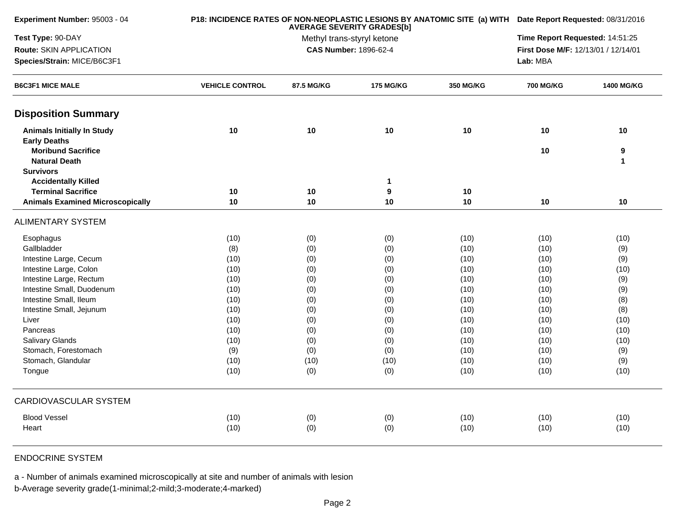| Experiment Number: 95003 - 04           |                        |            | P18: INCIDENCE RATES OF NON-NEOPLASTIC LESIONS BY ANATOMIC SITE (a) WITH Date Report Requested: 08/31/2016<br>Time Report Requested: 14:51:25 |                  |                                     |                   |
|-----------------------------------------|------------------------|------------|-----------------------------------------------------------------------------------------------------------------------------------------------|------------------|-------------------------------------|-------------------|
| Test Type: 90-DAY                       |                        |            |                                                                                                                                               |                  |                                     |                   |
| Route: SKIN APPLICATION                 |                        |            | Methyl trans-styryl ketone<br><b>CAS Number: 1896-62-4</b>                                                                                    |                  | First Dose M/F: 12/13/01 / 12/14/01 |                   |
| Species/Strain: MICE/B6C3F1             |                        |            |                                                                                                                                               |                  | Lab: MBA                            |                   |
| <b>B6C3F1 MICE MALE</b>                 | <b>VEHICLE CONTROL</b> | 87.5 MG/KG | <b>175 MG/KG</b>                                                                                                                              | <b>350 MG/KG</b> | <b>700 MG/KG</b>                    | <b>1400 MG/KG</b> |
| <b>Disposition Summary</b>              |                        |            |                                                                                                                                               |                  |                                     |                   |
| <b>Animals Initially In Study</b>       | 10                     | 10         | 10                                                                                                                                            | 10               | 10                                  | 10                |
| <b>Early Deaths</b>                     |                        |            |                                                                                                                                               |                  |                                     |                   |
| <b>Moribund Sacrifice</b>               |                        |            |                                                                                                                                               |                  | 10                                  | 9                 |
| <b>Natural Death</b>                    |                        |            |                                                                                                                                               |                  |                                     | $\mathbf{1}$      |
| <b>Survivors</b>                        |                        |            |                                                                                                                                               |                  |                                     |                   |
| <b>Accidentally Killed</b>              |                        |            | $\mathbf{1}$                                                                                                                                  |                  |                                     |                   |
| <b>Terminal Sacrifice</b>               | 10                     | 10         | 9                                                                                                                                             | 10               |                                     |                   |
| <b>Animals Examined Microscopically</b> | 10                     | 10         | 10                                                                                                                                            | 10               | 10                                  | 10                |
| <b>ALIMENTARY SYSTEM</b>                |                        |            |                                                                                                                                               |                  |                                     |                   |
| Esophagus                               | (10)                   | (0)        | (0)                                                                                                                                           | (10)             | (10)                                | (10)              |
| Gallbladder                             | (8)                    | (0)        | (0)                                                                                                                                           | (10)             | (10)                                | (9)               |
| Intestine Large, Cecum                  | (10)                   | (0)        | (0)                                                                                                                                           | (10)             | (10)                                | (9)               |
| Intestine Large, Colon                  | (10)                   | (0)        | (0)                                                                                                                                           | (10)             | (10)                                | (10)              |
| Intestine Large, Rectum                 | (10)                   | (0)        | (0)                                                                                                                                           | (10)             | (10)                                | (9)               |
| Intestine Small, Duodenum               | (10)                   | (0)        | (0)                                                                                                                                           | (10)             | (10)                                | (9)               |
| Intestine Small, Ileum                  | (10)                   | (0)        | (0)                                                                                                                                           | (10)             | (10)                                | (8)               |
| Intestine Small, Jejunum                | (10)                   | (0)        | (0)                                                                                                                                           | (10)             | (10)                                | (8)               |
| Liver                                   | (10)                   | (0)        | (0)                                                                                                                                           | (10)             | (10)                                | (10)              |
| Pancreas                                | (10)                   | (0)        | (0)                                                                                                                                           | (10)             | (10)                                | (10)              |
| Salivary Glands                         | (10)                   | (0)        | (0)                                                                                                                                           | (10)             | (10)                                | (10)              |
| Stomach, Forestomach                    | (9)                    | (0)        | (0)                                                                                                                                           | (10)             | (10)                                | (9)               |
| Stomach, Glandular                      | (10)                   | (10)       | (10)                                                                                                                                          | (10)             | (10)                                | (9)               |
| Tongue                                  | (10)                   | (0)        | (0)                                                                                                                                           | (10)             | (10)                                | (10)              |
| <b>CARDIOVASCULAR SYSTEM</b>            |                        |            |                                                                                                                                               |                  |                                     |                   |
| <b>Blood Vessel</b>                     | (10)                   | (0)        | (0)                                                                                                                                           | (10)             | (10)                                | (10)              |
| Heart                                   | (10)                   | (0)        | (0)                                                                                                                                           | (10)             | (10)                                | (10)              |
|                                         |                        |            |                                                                                                                                               |                  |                                     |                   |

## ENDOCRINE SYSTEM

a - Number of animals examined microscopically at site and number of animals with lesion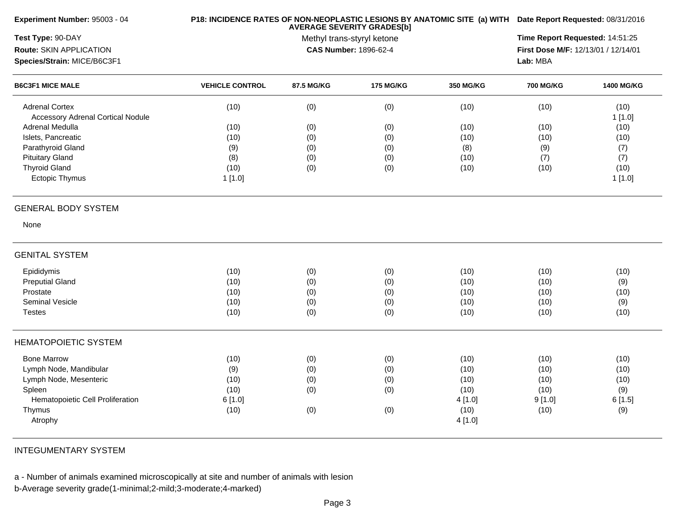| Experiment Number: 95003 - 04                                     |                        |            | P18: INCIDENCE RATES OF NON-NEOPLASTIC LESIONS BY ANATOMIC SITE (a) WITH Date Report Requested: 08/31/2016<br>Time Report Requested: 14:51:25 |                  |                                     |                   |
|-------------------------------------------------------------------|------------------------|------------|-----------------------------------------------------------------------------------------------------------------------------------------------|------------------|-------------------------------------|-------------------|
| Test Type: 90-DAY                                                 |                        |            |                                                                                                                                               |                  |                                     |                   |
| Route: SKIN APPLICATION                                           |                        |            | CAS Number: 1896-62-4                                                                                                                         |                  | First Dose M/F: 12/13/01 / 12/14/01 |                   |
| Species/Strain: MICE/B6C3F1                                       |                        |            |                                                                                                                                               |                  | Lab: MBA                            |                   |
| <b>B6C3F1 MICE MALE</b>                                           | <b>VEHICLE CONTROL</b> | 87.5 MG/KG | <b>175 MG/KG</b>                                                                                                                              | <b>350 MG/KG</b> | <b>700 MG/KG</b>                    | <b>1400 MG/KG</b> |
| <b>Adrenal Cortex</b><br><b>Accessory Adrenal Cortical Nodule</b> | (10)                   | (0)        | (0)                                                                                                                                           | (10)             | (10)                                | (10)<br>1[1.0]    |
| Adrenal Medulla                                                   | (10)                   | (0)        | (0)                                                                                                                                           | (10)             | (10)                                | (10)              |
| Islets, Pancreatic                                                | (10)                   | (0)        | (0)                                                                                                                                           | (10)             | (10)                                | (10)              |
| Parathyroid Gland                                                 | (9)                    | (0)        | (0)                                                                                                                                           | (8)              | (9)                                 | (7)               |
| <b>Pituitary Gland</b>                                            | (8)                    | (0)        | (0)                                                                                                                                           | (10)             | (7)                                 | (7)               |
| <b>Thyroid Gland</b>                                              | (10)                   | (0)        | (0)                                                                                                                                           | (10)             | (10)                                | (10)              |
| Ectopic Thymus                                                    | 1 [1.0]                |            |                                                                                                                                               |                  |                                     | 1[1.0]            |
| <b>GENERAL BODY SYSTEM</b>                                        |                        |            |                                                                                                                                               |                  |                                     |                   |
| None                                                              |                        |            |                                                                                                                                               |                  |                                     |                   |
| <b>GENITAL SYSTEM</b>                                             |                        |            |                                                                                                                                               |                  |                                     |                   |
| Epididymis                                                        | (10)                   | (0)        | (0)                                                                                                                                           | (10)             | (10)                                | (10)              |
| <b>Preputial Gland</b>                                            | (10)                   | (0)        | (0)                                                                                                                                           | (10)             | (10)                                | (9)               |
| Prostate                                                          | (10)                   | (0)        | (0)                                                                                                                                           | (10)             | (10)                                | (10)              |
| Seminal Vesicle                                                   | (10)                   | (0)        | (0)                                                                                                                                           | (10)             | (10)                                | (9)               |
| <b>Testes</b>                                                     | (10)                   | (0)        | (0)                                                                                                                                           | (10)             | (10)                                | (10)              |
| <b>HEMATOPOIETIC SYSTEM</b>                                       |                        |            |                                                                                                                                               |                  |                                     |                   |
| <b>Bone Marrow</b>                                                | (10)                   | (0)        | (0)                                                                                                                                           | (10)             | (10)                                | (10)              |
| Lymph Node, Mandibular                                            | (9)                    | (0)        | (0)                                                                                                                                           | (10)             | (10)                                | (10)              |
| Lymph Node, Mesenteric                                            | (10)                   | (0)        | (0)                                                                                                                                           | (10)             | (10)                                | (10)              |
| Spleen                                                            | (10)                   | (0)        | (0)                                                                                                                                           | (10)             | (10)                                | (9)               |
| Hematopoietic Cell Proliferation                                  | 6[1.0]                 |            |                                                                                                                                               | 4 [1.0]          | 9[1.0]                              | 6[1.5]            |
| Thymus                                                            | (10)                   | (0)        | (0)                                                                                                                                           | (10)             | (10)                                | (9)               |
| Atrophy                                                           |                        |            |                                                                                                                                               | 4[1.0]           |                                     |                   |
|                                                                   |                        |            |                                                                                                                                               |                  |                                     |                   |

INTEGUMENTARY SYSTEM

a - Number of animals examined microscopically at site and number of animals with lesion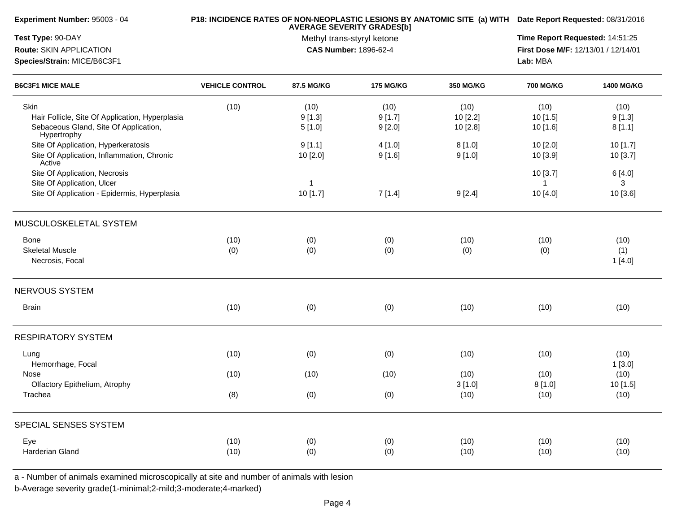| Experiment Number: 95003 - 04                                                                           |                        | P18: INCIDENCE RATES OF NON-NEOPLASTIC LESIONS BY ANATOMIC SITE (a) WITH Date Report Requested: 08/31/2016 |                                 |                     |                                     |                     |
|---------------------------------------------------------------------------------------------------------|------------------------|------------------------------------------------------------------------------------------------------------|---------------------------------|---------------------|-------------------------------------|---------------------|
| Test Type: 90-DAY                                                                                       |                        | <b>AVERAGE SEVERITY GRADES[b]</b><br>Methyl trans-styryl ketone                                            | Time Report Requested: 14:51:25 |                     |                                     |                     |
| Route: SKIN APPLICATION                                                                                 |                        |                                                                                                            | <b>CAS Number: 1896-62-4</b>    |                     | First Dose M/F: 12/13/01 / 12/14/01 |                     |
| Species/Strain: MICE/B6C3F1                                                                             |                        |                                                                                                            |                                 |                     | Lab: MBA                            |                     |
| <b>B6C3F1 MICE MALE</b>                                                                                 | <b>VEHICLE CONTROL</b> | 87.5 MG/KG                                                                                                 | <b>175 MG/KG</b>                | <b>350 MG/KG</b>    | <b>700 MG/KG</b>                    | <b>1400 MG/KG</b>   |
| Skin                                                                                                    | (10)                   | (10)                                                                                                       | (10)                            | (10)                | (10)                                | (10)                |
| Hair Follicle, Site Of Application, Hyperplasia<br>Sebaceous Gland, Site Of Application,<br>Hypertrophy |                        | 9[1.3]<br>5[1.0]                                                                                           | 9[1.7]<br>9[2.0]                | 10[2.2]<br>10 [2.8] | 10 [1.5]<br>10 [1.6]                | 9[1.3]<br>8[1.1]    |
| Site Of Application, Hyperkeratosis<br>Site Of Application, Inflammation, Chronic                       |                        | 9[1.1]<br>10 [2.0]                                                                                         | 4[1.0]<br>9[1.6]                | 8[1.0]<br>9[1.0]    | 10 [2.0]<br>10 [3.9]                | 10[1.7]<br>10 [3.7] |
| Active<br>Site Of Application, Necrosis<br>Site Of Application, Ulcer                                   |                        | $\mathbf{1}$                                                                                               |                                 |                     | 10 [3.7]<br>$\mathbf{1}$            | 6 [4.0]<br>3        |
| Site Of Application - Epidermis, Hyperplasia                                                            |                        | 10 [1.7]                                                                                                   | 7[1.4]                          | 9[2.4]              | 10 [4.0]                            | 10 [3.6]            |
| MUSCULOSKELETAL SYSTEM                                                                                  |                        |                                                                                                            |                                 |                     |                                     |                     |
| Bone                                                                                                    | (10)                   | (0)                                                                                                        | (0)                             | (10)                | (10)                                | (10)                |
| <b>Skeletal Muscle</b><br>Necrosis, Focal                                                               | (0)                    | (0)                                                                                                        | (0)                             | (0)                 | (0)                                 | (1)<br>1[4.0]       |
| NERVOUS SYSTEM                                                                                          |                        |                                                                                                            |                                 |                     |                                     |                     |
| <b>Brain</b>                                                                                            | (10)                   | (0)                                                                                                        | (0)                             | (10)                | (10)                                | (10)                |
| <b>RESPIRATORY SYSTEM</b>                                                                               |                        |                                                                                                            |                                 |                     |                                     |                     |
| Lung<br>Hemorrhage, Focal                                                                               | (10)                   | (0)                                                                                                        | (0)                             | (10)                | (10)                                | (10)<br>1[3.0]      |
| Nose<br>Olfactory Epithelium, Atrophy                                                                   | (10)                   | (10)                                                                                                       | (10)                            | (10)<br>3[1.0]      | (10)<br>8[1.0]                      | (10)<br>10 [1.5]    |
| Trachea                                                                                                 | (8)                    | (0)                                                                                                        | (0)                             | (10)                | (10)                                | (10)                |
| SPECIAL SENSES SYSTEM                                                                                   |                        |                                                                                                            |                                 |                     |                                     |                     |
| Eye                                                                                                     | (10)                   | (0)                                                                                                        | (0)                             | (10)                | (10)                                | (10)                |
| Harderian Gland                                                                                         | (10)                   | (0)                                                                                                        | (0)                             | (10)                | (10)                                | (10)                |

a - Number of animals examined microscopically at site and number of animals with lesion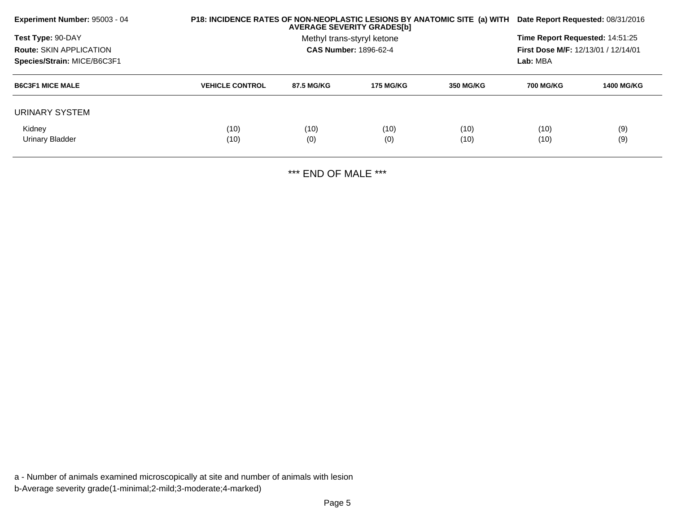| <b>Experiment Number: 95003 - 04</b> | P18: INCIDENCE RATES OF NON-NEOPLASTIC LESIONS BY ANATOMIC SITE (a) WITH | Date Report Requested: 08/31/2016 |                              |                  |                                            |                   |  |
|--------------------------------------|--------------------------------------------------------------------------|-----------------------------------|------------------------------|------------------|--------------------------------------------|-------------------|--|
| Test Type: 90-DAY                    |                                                                          | Methyl trans-styryl ketone        |                              |                  |                                            |                   |  |
| <b>Route: SKIN APPLICATION</b>       |                                                                          |                                   | <b>CAS Number: 1896-62-4</b> |                  | <b>First Dose M/F: 12/13/01 / 12/14/01</b> |                   |  |
| Species/Strain: MICE/B6C3F1          |                                                                          |                                   |                              |                  | Lab: MBA                                   |                   |  |
| <b>B6C3F1 MICE MALE</b>              | <b>VEHICLE CONTROL</b>                                                   | 87.5 MG/KG                        | 175 MG/KG                    | <b>350 MG/KG</b> | <b>700 MG/KG</b>                           | <b>1400 MG/KG</b> |  |
| URINARY SYSTEM                       |                                                                          |                                   |                              |                  |                                            |                   |  |
| Kidney                               | (10)                                                                     | (10)                              | (10)                         | (10)             | (10)                                       | (9)               |  |
| Urinary Bladder                      | (10)                                                                     | (0)                               | (0)                          | (10)             | (10)                                       | (9)               |  |
|                                      |                                                                          |                                   |                              |                  |                                            |                   |  |

\*\*\* END OF MALE \*\*\*

a - Number of animals examined microscopically at site and number of animals with lesionb-Average severity grade(1-minimal;2-mild;3-moderate;4-marked)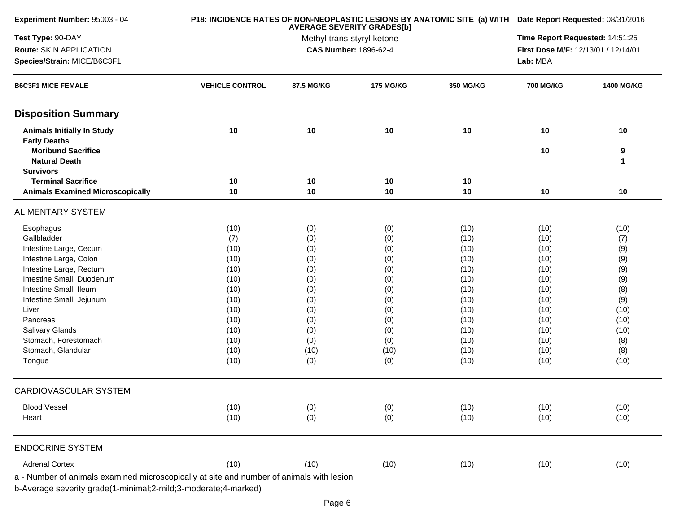| Experiment Number: 95003 - 04                                                            |                        |            | P18: INCIDENCE RATES OF NON-NEOPLASTIC LESIONS BY ANATOMIC SITE (a) WITH Date Report Requested: 08/31/2016<br>Time Report Requested: 14:51:25 |              |                                     |                   |
|------------------------------------------------------------------------------------------|------------------------|------------|-----------------------------------------------------------------------------------------------------------------------------------------------|--------------|-------------------------------------|-------------------|
| Test Type: 90-DAY                                                                        |                        |            |                                                                                                                                               |              |                                     |                   |
| Route: SKIN APPLICATION                                                                  |                        |            | <b>CAS Number: 1896-62-4</b>                                                                                                                  |              | First Dose M/F: 12/13/01 / 12/14/01 |                   |
| Species/Strain: MICE/B6C3F1                                                              |                        |            |                                                                                                                                               |              | Lab: MBA                            |                   |
| <b>B6C3F1 MICE FEMALE</b>                                                                | <b>VEHICLE CONTROL</b> | 87.5 MG/KG | <b>175 MG/KG</b>                                                                                                                              | 350 MG/KG    | <b>700 MG/KG</b>                    | <b>1400 MG/KG</b> |
| <b>Disposition Summary</b>                                                               |                        |            |                                                                                                                                               |              |                                     |                   |
| <b>Animals Initially In Study</b>                                                        | 10                     | 10         | 10                                                                                                                                            | 10           | 10                                  | 10                |
| <b>Early Deaths</b>                                                                      |                        |            |                                                                                                                                               |              |                                     |                   |
| <b>Moribund Sacrifice</b>                                                                |                        |            |                                                                                                                                               |              | 10                                  | 9                 |
| <b>Natural Death</b><br><b>Survivors</b>                                                 |                        |            |                                                                                                                                               |              |                                     | $\mathbf 1$       |
| <b>Terminal Sacrifice</b>                                                                | 10                     | 10         | 10                                                                                                                                            | 10           |                                     |                   |
| <b>Animals Examined Microscopically</b>                                                  | 10                     | 10         | 10                                                                                                                                            | 10           | 10                                  | 10                |
|                                                                                          |                        |            |                                                                                                                                               |              |                                     |                   |
| <b>ALIMENTARY SYSTEM</b>                                                                 |                        |            |                                                                                                                                               |              |                                     |                   |
| Esophagus                                                                                | (10)                   | (0)        | (0)                                                                                                                                           | (10)         | (10)                                | (10)              |
| Gallbladder                                                                              | (7)                    | (0)        | (0)                                                                                                                                           | (10)         | (10)                                | (7)               |
| Intestine Large, Cecum                                                                   | (10)                   | (0)        | (0)                                                                                                                                           | (10)         | (10)                                | (9)               |
| Intestine Large, Colon                                                                   | (10)                   | (0)        | (0)                                                                                                                                           | (10)         | (10)                                | (9)               |
| Intestine Large, Rectum                                                                  | (10)                   | (0)        | (0)                                                                                                                                           | (10)         | (10)                                | (9)               |
| Intestine Small, Duodenum                                                                | (10)                   | (0)        | (0)                                                                                                                                           | (10)         | (10)                                | (9)               |
| Intestine Small, Ileum                                                                   | (10)                   | (0)        | (0)                                                                                                                                           | (10)         | (10)                                | (8)               |
| Intestine Small, Jejunum                                                                 | (10)                   | (0)        | (0)                                                                                                                                           | (10)         | (10)                                | (9)               |
| Liver                                                                                    | (10)                   | (0)        | (0)                                                                                                                                           | (10)         | (10)                                | (10)              |
| Pancreas<br>Salivary Glands                                                              | (10)<br>(10)           | (0)        | (0)                                                                                                                                           | (10)         | (10)                                | (10)              |
| Stomach, Forestomach                                                                     | (10)                   | (0)<br>(0) | (0)<br>(0)                                                                                                                                    | (10)<br>(10) | (10)<br>(10)                        | (10)<br>(8)       |
| Stomach, Glandular                                                                       | (10)                   | (10)       | (10)                                                                                                                                          | (10)         | (10)                                | (8)               |
| Tongue                                                                                   | (10)                   | (0)        | (0)                                                                                                                                           | (10)         | (10)                                | (10)              |
| CARDIOVASCULAR SYSTEM                                                                    |                        |            |                                                                                                                                               |              |                                     |                   |
|                                                                                          |                        |            |                                                                                                                                               |              |                                     |                   |
| <b>Blood Vessel</b>                                                                      | (10)                   | (0)        | (0)                                                                                                                                           | (10)         | (10)                                | (10)              |
| Heart                                                                                    | (10)                   | (0)        | (0)                                                                                                                                           | (10)         | (10)                                | (10)              |
| <b>ENDOCRINE SYSTEM</b>                                                                  |                        |            |                                                                                                                                               |              |                                     |                   |
| <b>Adrenal Cortex</b>                                                                    | (10)                   | (10)       | (10)                                                                                                                                          | (10)         | (10)                                | (10)              |
| a - Number of animals examined microscopically at site and number of animals with lesion |                        |            |                                                                                                                                               |              |                                     |                   |
|                                                                                          |                        |            |                                                                                                                                               |              |                                     |                   |
| b-Average severity grade(1-minimal;2-mild;3-moderate;4-marked)                           |                        |            |                                                                                                                                               |              |                                     |                   |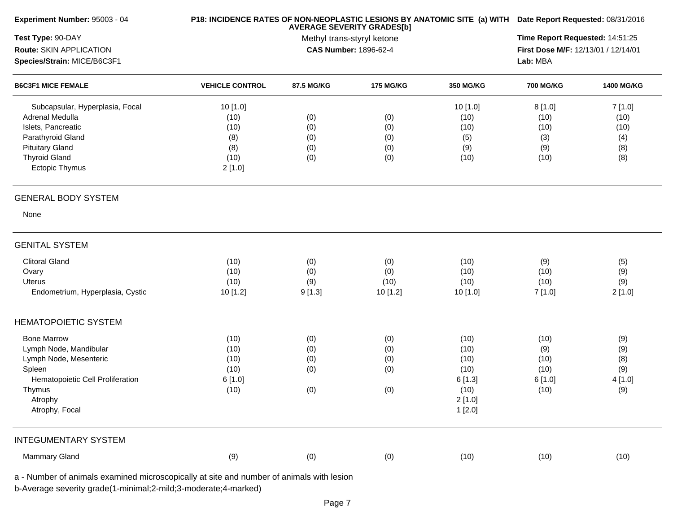| Experiment Number: 95003 - 04                                               |                        | P18: INCIDENCE RATES OF NON-NEOPLASTIC LESIONS BY ANATOMIC SITE (a) WITH Date Report Requested: 08/31/2016 |                  |           |                  |                   |
|-----------------------------------------------------------------------------|------------------------|------------------------------------------------------------------------------------------------------------|------------------|-----------|------------------|-------------------|
| Test Type: 90-DAY<br>Route: SKIN APPLICATION<br>Species/Strain: MICE/B6C3F1 |                        | Time Report Requested: 14:51:25<br>First Dose M/F: 12/13/01 / 12/14/01<br>Lab: MBA                         |                  |           |                  |                   |
| <b>B6C3F1 MICE FEMALE</b>                                                   | <b>VEHICLE CONTROL</b> | 87.5 MG/KG                                                                                                 | <b>175 MG/KG</b> | 350 MG/KG | <b>700 MG/KG</b> | <b>1400 MG/KG</b> |
| Subcapsular, Hyperplasia, Focal                                             | 10 [1.0]               |                                                                                                            |                  | 10 [1.0]  | 8[1.0]           | 7[1.0]            |
| Adrenal Medulla                                                             | (10)                   | (0)                                                                                                        | (0)              | (10)      | (10)             | (10)              |
| Islets, Pancreatic                                                          | (10)                   | (0)                                                                                                        | (0)              | (10)      | (10)             | (10)              |
| Parathyroid Gland                                                           | (8)                    | (0)                                                                                                        | (0)              | (5)       | (3)              | (4)               |
| <b>Pituitary Gland</b>                                                      | (8)                    | (0)                                                                                                        | (0)              | (9)       | (9)              | (8)               |
| <b>Thyroid Gland</b>                                                        | (10)                   | (0)                                                                                                        | (0)              | (10)      | (10)             | (8)               |
| Ectopic Thymus                                                              | 2[1.0]                 |                                                                                                            |                  |           |                  |                   |
| <b>GENERAL BODY SYSTEM</b>                                                  |                        |                                                                                                            |                  |           |                  |                   |
| None                                                                        |                        |                                                                                                            |                  |           |                  |                   |
| <b>GENITAL SYSTEM</b>                                                       |                        |                                                                                                            |                  |           |                  |                   |
| <b>Clitoral Gland</b>                                                       | (10)                   | (0)                                                                                                        | (0)              | (10)      | (9)              | (5)               |
| Ovary                                                                       | (10)                   | (0)                                                                                                        | (0)              | (10)      | (10)             | (9)               |
| <b>Uterus</b>                                                               | (10)                   | (9)                                                                                                        | (10)             | (10)      | (10)             | (9)               |
| Endometrium, Hyperplasia, Cystic                                            | 10 [1.2]               | 9[1.3]                                                                                                     | 10 [1.2]         | 10 [1.0]  | 7[1.0]           | 2[1.0]            |
| <b>HEMATOPOIETIC SYSTEM</b>                                                 |                        |                                                                                                            |                  |           |                  |                   |
| <b>Bone Marrow</b>                                                          | (10)                   | (0)                                                                                                        | (0)              | (10)      | (10)             | (9)               |
| Lymph Node, Mandibular                                                      | (10)                   | (0)                                                                                                        | (0)              | (10)      | (9)              | (9)               |
| Lymph Node, Mesenteric                                                      | (10)                   | (0)                                                                                                        | (0)              | (10)      | (10)             | (8)               |
| Spleen                                                                      | (10)                   | (0)                                                                                                        | (0)              | (10)      | (10)             | (9)               |
| Hematopoietic Cell Proliferation                                            | 6 [1.0]                |                                                                                                            |                  | 6[1.3]    | 6[1.0]           | 4 [1.0]           |
| Thymus                                                                      | (10)                   | (0)                                                                                                        | (0)              | (10)      | (10)             | (9)               |
| Atrophy                                                                     |                        |                                                                                                            |                  | 2[1.0]    |                  |                   |
| Atrophy, Focal                                                              |                        |                                                                                                            |                  | 1[2.0]    |                  |                   |
| <b>INTEGUMENTARY SYSTEM</b>                                                 |                        |                                                                                                            |                  |           |                  |                   |
| Mammary Gland                                                               | (9)                    | (0)                                                                                                        | (0)              | (10)      | (10)             | (10)              |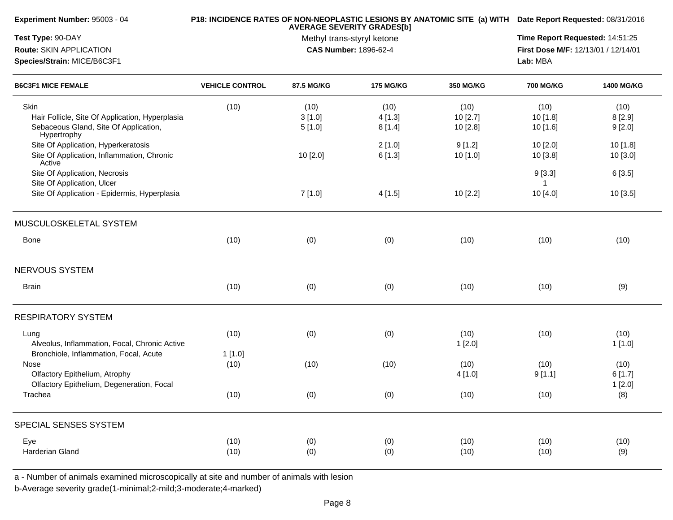| Experiment Number: 95003 - 04                                                                                   |                        | P18: INCIDENCE RATES OF NON-NEOPLASTIC LESIONS BY ANATOMIC SITE (a) WITH Date Report Requested: 08/31/2016 |                          |                                                                        |                              |                          |
|-----------------------------------------------------------------------------------------------------------------|------------------------|------------------------------------------------------------------------------------------------------------|--------------------------|------------------------------------------------------------------------|------------------------------|--------------------------|
| Test Type: 90-DAY<br>Route: SKIN APPLICATION<br>Species/Strain: MICE/B6C3F1                                     |                        | <b>AVERAGE SEVERITY GRADES[b]</b><br>Methyl trans-styryl ketone<br><b>CAS Number: 1896-62-4</b>            | Lab: MBA                 | Time Report Requested: 14:51:25<br>First Dose M/F: 12/13/01 / 12/14/01 |                              |                          |
| <b>B6C3F1 MICE FEMALE</b>                                                                                       | <b>VEHICLE CONTROL</b> | 87.5 MG/KG                                                                                                 | <b>175 MG/KG</b>         | 350 MG/KG                                                              | <b>700 MG/KG</b>             | <b>1400 MG/KG</b>        |
| Skin<br>Hair Follicle, Site Of Application, Hyperplasia<br>Sebaceous Gland, Site Of Application,<br>Hypertrophy | (10)                   | (10)<br>3[1.0]<br>5[1.0]                                                                                   | (10)<br>4[1.3]<br>8[1.4] | (10)<br>10[2.7]<br>10 [2.8]                                            | (10)<br>10 [1.8]<br>10 [1.6] | (10)<br>8[2.9]<br>9[2.0] |
| Site Of Application, Hyperkeratosis<br>Site Of Application, Inflammation, Chronic<br>Active                     |                        | 10 [2.0]                                                                                                   | 2[1.0]<br>6[1.3]         | 9[1.2]<br>10 [1.0]                                                     | 10 [2.0]<br>10 [3.8]         | 10 [1.8]<br>10 [3.0]     |
| Site Of Application, Necrosis<br>Site Of Application, Ulcer                                                     |                        |                                                                                                            |                          |                                                                        | 9[3.3]                       | 6 [3.5]                  |
| Site Of Application - Epidermis, Hyperplasia                                                                    |                        | 7[1.0]                                                                                                     | 4[1.5]                   | 10 [2.2]                                                               | 10 [4.0]                     | 10 [3.5]                 |
| MUSCULOSKELETAL SYSTEM                                                                                          |                        |                                                                                                            |                          |                                                                        |                              |                          |
| <b>Bone</b>                                                                                                     | (10)                   | (0)                                                                                                        | (0)                      | (10)                                                                   | (10)                         | (10)                     |
| <b>NERVOUS SYSTEM</b>                                                                                           |                        |                                                                                                            |                          |                                                                        |                              |                          |
| <b>Brain</b>                                                                                                    | (10)                   | (0)                                                                                                        | (0)                      | (10)                                                                   | (10)                         | (9)                      |
| <b>RESPIRATORY SYSTEM</b>                                                                                       |                        |                                                                                                            |                          |                                                                        |                              |                          |
| Lung<br>Alveolus, Inflammation, Focal, Chronic Active<br>Bronchiole, Inflammation, Focal, Acute                 | (10)<br>1[1.0]         | (0)                                                                                                        | (0)                      | (10)<br>1[2.0]                                                         | (10)                         | (10)<br>1[1.0]           |
| Nose<br>Olfactory Epithelium, Atrophy<br>Olfactory Epithelium, Degeneration, Focal                              | (10)                   | (10)                                                                                                       | (10)                     | (10)<br>4 [1.0]                                                        | (10)<br>9[1.1]               | (10)<br>6[1.7]<br>1[2.0] |
| Trachea                                                                                                         | (10)                   | (0)                                                                                                        | (0)                      | (10)                                                                   | (10)                         | (8)                      |
| SPECIAL SENSES SYSTEM                                                                                           |                        |                                                                                                            |                          |                                                                        |                              |                          |
| Eye<br>Harderian Gland                                                                                          | (10)<br>(10)           | (0)<br>(0)                                                                                                 | (0)<br>(0)               | (10)<br>(10)                                                           | (10)<br>(10)                 | (10)<br>(9)              |

a - Number of animals examined microscopically at site and number of animals with lesion